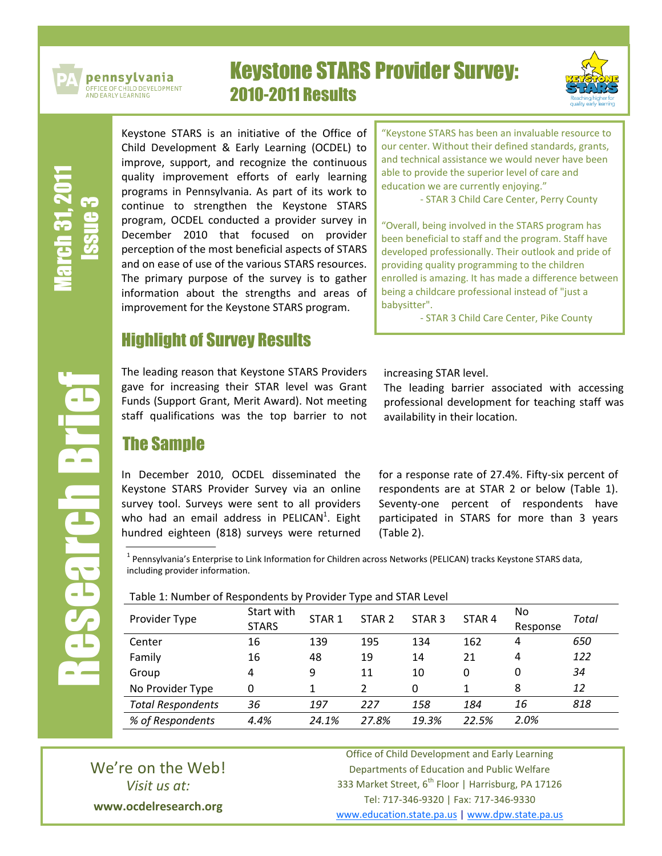

pennsylvania .<br>DFFICE OF CHILD DEVELOPMENT<br>AND EARLY LEARNING

# Keystone STARS Provider Survey: 2010-2011 Results



March 31, 2011 Issue ო

Research Brief

**ENGINEER** 

Keystone STARS is an initiative of the Office of Child Development & Early Learning (OCDEL) to improve, support, and recognize the continuous quality improvement efforts of early learning programs in Pennsylvania. As part of its work to continue to strengthen the Keystone STARS program, OCDEL conducted a provider survey in December 2010 that focused on provider perception of the most beneficial aspects of STARS and on ease of use of the various STARS resources. The primary purpose of the survey is to gather information about the strengths and areas of improvement for the Keystone STARS program.

# Highlight of Survey Results

The leading reason that Keystone STARS Providers gave for increasing their STAR level was Grant Funds (Support Grant, Merit Award). Not meeting staff qualifications was the top barrier to not

The Sample

In December 2010, OCDEL disseminated the Keystone STARS Provider Survey via an online survey tool. Surveys were sent to all providers who had an email address in PELICAN<sup>1</sup>. Eight hundred eighteen (818) surveys were returned

"Keystone STARS has been an invaluable resource to our center. Without their defined standards, grants, and technical assistance we would never have been able to provide the superior level of care and education we are currently enjoying."

- STAR 3 Child Care Center, Perry County

"Overall, being involved in the STARS program has been beneficial to staff and the program. Staff have developed professionally. Their outlook and pride of providing quality programming to the children enrolled is amazing. It has made a difference between being a childcare professional instead of "just a babysitter".

- STAR 3 Child Care Center, Pike County

increasing STAR level.

The leading barrier associated with accessing professional development for teaching staff was availability in their location.

for a response rate of 27.4%. Fifty-six percent of respondents are at STAR 2 or below (Table 1). Seventy-one percent of respondents have participated in STARS for more than 3 years (Table 2).

<sup>1</sup> Pennsylvania's Enterprise to Link Information for Children across Networks (PELICAN) tracks Keystone STARS data, including provider information.

Table 1: Number of Respondents by Provider Type and STAR Level

| Provider Type            | Start with<br><b>STARS</b> | STAR <sub>1</sub> | STAR <sub>2</sub> | STAR <sub>3</sub> | STAR <sub>4</sub> | No.<br>Response | Total |
|--------------------------|----------------------------|-------------------|-------------------|-------------------|-------------------|-----------------|-------|
| Center                   | 16                         | 139               | 195               | 134               | 162               | 4               | 650   |
| Family                   | 16                         | 48                | 19                | 14                | 21                | 4               | 122   |
| Group                    | 4                          | 9                 | 11                | 10                | 0                 | 0               | 34    |
| No Provider Type         | 0                          | 1                 | 2                 | $\Omega$          |                   | 8               | 12    |
| <b>Total Respondents</b> | 36                         | 197               | 227               | 158               | 184               | 16              | 818   |
| % of Respondents         | 4.4%                       | 24.1%             | 27.8%             | 19.3%             | 22.5%             | 2.0%            |       |

We're on the Web! *Visit us at:* **www.ocdelresearch.org**

Office of Child Development and Early Learning Departments of Education and Public Welfare 333 Market Street, 6<sup>th</sup> Floor | Harrisburg, PA 17126 Tel: 717-346-9320 | Fax: 717-346-9330 [www.education.state.pa.us](http://www.education.state.pa.us/) | [www.dpw.state.pa.us](http://www.dpw.state.pa.us/)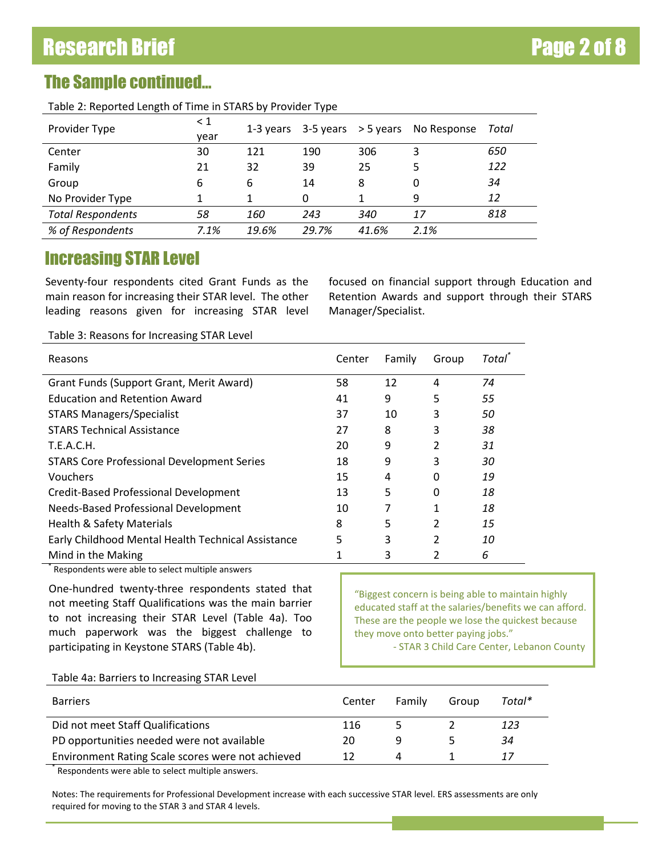# The Sample continued…

Table 2: Reported Length of Time in STARS by Provider Type

| Provider Type            | $\leq 1$<br>vear | 1-3 years | $3-5$ years $> 5$ years |       | No Response | Total |
|--------------------------|------------------|-----------|-------------------------|-------|-------------|-------|
| Center                   | 30               | 121       | 190                     | 306   | 3           | 650   |
| Family                   | 21               | 32        | 39                      | 25    | 5           | 122   |
| Group                    | 6                | 6         | 14                      | 8     | 0           | 34    |
| No Provider Type         |                  |           | 0                       |       | 9           | 12    |
| <b>Total Respondents</b> | 58               | 160       | 243                     | 340   | 17          | 818   |
| % of Respondents         | 7.1%             | 19.6%     | 29.7%                   | 41.6% | 2.1%        |       |

### Increasing STAR Level

Seventy-four respondents cited Grant Funds as the main reason for increasing their STAR level. The other leading reasons given for increasing STAR level focused on financial support through Education and Retention Awards and support through their STARS Manager/Specialist.

Table 3: Reasons for Increasing STAR Level

| Reasons                                            | Center | Family | Group | <b>Total</b> |
|----------------------------------------------------|--------|--------|-------|--------------|
| Grant Funds (Support Grant, Merit Award)           | 58     | 12     | 4     | 74           |
| <b>Education and Retention Award</b>               | 41     | 9      | 5     | 55           |
| <b>STARS Managers/Specialist</b>                   | 37     | 10     | 3     | 50           |
| <b>STARS Technical Assistance</b>                  | 27     | 8      | 3     | 38           |
| T.E.A.C.H.                                         | 20     | 9      | 2     | 31           |
| <b>STARS Core Professional Development Series</b>  | 18     | 9      | 3     | 30           |
| Vouchers                                           | 15     | 4      | 0     | 19           |
| Credit-Based Professional Development              | 13     | 5      | 0     | 18           |
| Needs-Based Professional Development               | 10     | 7      |       | 18           |
| Health & Safety Materials                          | 8      | 5      | 2     | 15           |
| Early Childhood Mental Health Technical Assistance | 5      | 3      |       | 10           |
| Mind in the Making                                 |        | 3      |       | 6            |

\* Respondents were able to select multiple answers

One-hundred twenty-three respondents stated that not meeting Staff Qualifications was the main barrier to not increasing their STAR Level (Table 4a). Too much paperwork was the biggest challenge to participating in Keystone STARS (Table 4b).

"Biggest concern is being able to maintain highly educated staff at the salaries/benefits we can afford. These are the people we lose the quickest because they move onto better paying jobs."

- STAR 3 Child Care Center, Lebanon County

#### Table 4a: Barriers to Increasing STAR Level

| <b>Barriers</b>                                   | Center | Family | Group | Total* |
|---------------------------------------------------|--------|--------|-------|--------|
| Did not meet Staff Qualifications                 | 116    |        |       | 123    |
| PD opportunities needed were not available        | 20     | a      |       | 34     |
| Environment Rating Scale scores were not achieved | 12     | Δ      |       |        |

\* Respondents were able to select multiple answers.

Notes: The requirements for Professional Development increase with each successive STAR level. ERS assessments are only required for moving to the STAR 3 and STAR 4 levels.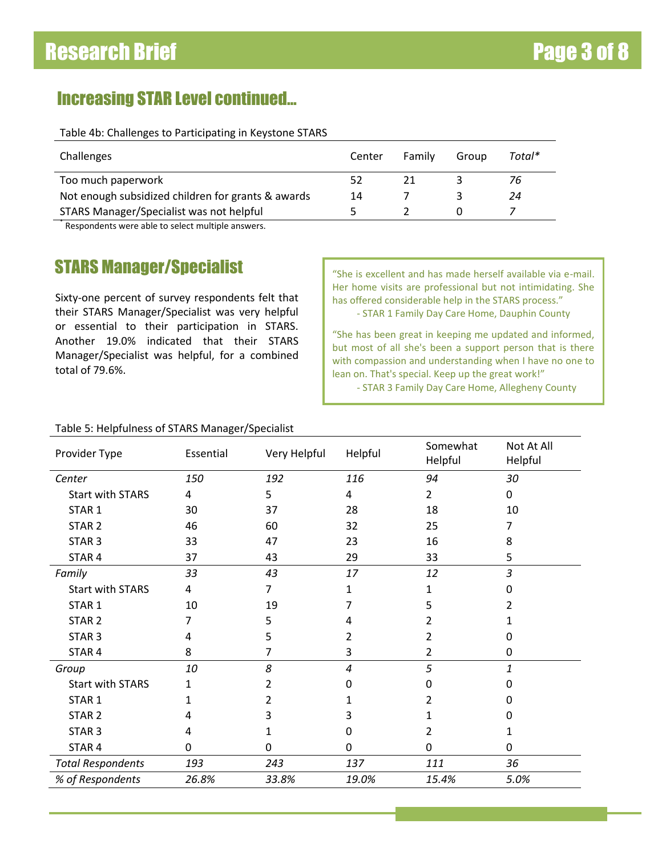## Increasing STAR Level continued…

Table 4b: Challenges to Participating in Keystone STARS

| Center | Family | Group | Total* |
|--------|--------|-------|--------|
| 52     |        |       | 76     |
| 14     |        |       | 24     |
|        |        |       |        |
|        |        |       |        |

\* Respondents were able to select multiple answers.

## STARS Manager/Specialist **State of the State of State Index** "She is excellent and has made herself available via e-mail.

Sixty-one percent of survey respondents felt that their STARS Manager/Specialist was very helpful or essential to their participation in STARS. Another 19.0% indicated that their STARS Manager/Specialist was helpful, for a combined total of 79.6%.

Her home visits are professional but not intimidating. She has offered considerable help in the STARS process."

- STAR 1 Family Day Care Home, Dauphin County

"She has been great in keeping me updated and informed, but most of all she's been a support person that is there with compassion and understanding when I have no one to lean on. That's special. Keep up the great work!"

- STAR 3 Family Day Care Home, Allegheny County

| Provider Type            | Essential | Very Helpful | Helpful | Somewhat<br>Helpful | Not At All<br>Helpful |
|--------------------------|-----------|--------------|---------|---------------------|-----------------------|
| Center                   | 150       | 192          | 116     | 94                  | 30                    |
| <b>Start with STARS</b>  | 4         | 5            | 4       | $\overline{2}$      | 0                     |
| STAR <sub>1</sub>        | 30        | 37           | 28      | 18                  | 10                    |
| STAR <sub>2</sub>        | 46        | 60           | 32      | 25                  | 7                     |
| STAR <sub>3</sub>        | 33        | 47           | 23      | 16                  | 8                     |
| STAR 4                   | 37        | 43           | 29      | 33                  | 5                     |
| Family                   | 33        | 43           | 17      | 12                  | 3                     |
| <b>Start with STARS</b>  | 4         | 7            | 1       | 1                   | $\Omega$              |
| STAR <sub>1</sub>        | 10        | 19           | 7       | 5                   | 2                     |
| STAR <sub>2</sub>        | 7         | 5            | 4       | 2                   | 1                     |
| STAR <sub>3</sub>        | 4         | 5            | 2       | 2                   | 0                     |
| STAR <sub>4</sub>        | 8         | 7            | 3       | 2                   | $\mathbf 0$           |
| Group                    | 10        | 8            | 4       | 5                   | 1                     |
| <b>Start with STARS</b>  | 1         | 2            | 0       | 0                   | 0                     |
| STAR <sub>1</sub>        | 1         | 2            | 1       | 2                   | 0                     |
| STAR <sub>2</sub>        | 4         | 3            | 3       | 1                   | 0                     |
| STAR <sub>3</sub>        | 4         | 1            | 0       | 2                   | 1                     |
| STAR <sub>4</sub>        | 0         | 0            | 0       | 0                   | $\mathbf 0$           |
| <b>Total Respondents</b> | 193       | 243          | 137     | 111                 | 36                    |
| % of Respondents         | 26.8%     | 33.8%        | 19.0%   | 15.4%               | 5.0%                  |

### Table 5: Helpfulness of STARS Manager/Specialist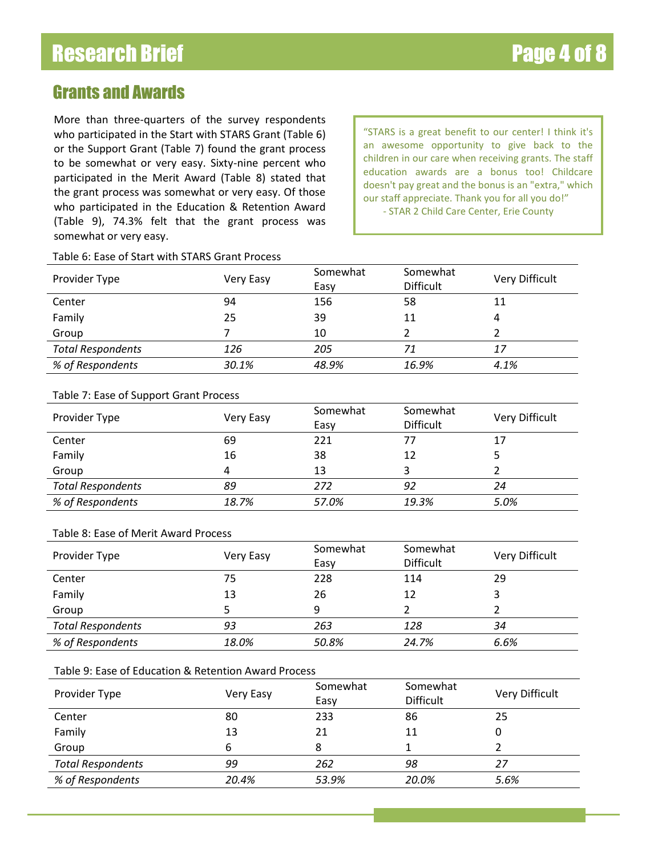## Grants and Awards

More than three-quarters of the survey respondents who participated in the Start with STARS Grant (Table 6) or the Support Grant (Table 7) found the grant process to be somewhat or very easy. Sixty-nine percent who participated in the Merit Award (Table 8) stated that the grant process was somewhat or very easy. Of those who participated in the Education & Retention Award (Table 9), 74.3% felt that the grant process was somewhat or very easy.

"STARS is a great benefit to our center! I think it's an awesome opportunity to give back to the children in our care when receiving grants. The staff education awards are a bonus too! Childcare doesn't pay great and the bonus is an "extra," which our staff appreciate. Thank you for all you do!" - STAR 2 Child Care Center, Erie County

### Table 6: Ease of Start with STARS Grant Process

| Provider Type            | Very Easy | Somewhat<br>Easy | Somewhat<br><b>Difficult</b> | Very Difficult |
|--------------------------|-----------|------------------|------------------------------|----------------|
| Center                   | 94        | 156              | 58                           | 11             |
| Family                   | 25        | 39               | 11                           |                |
| Group                    |           | 10               |                              |                |
| <b>Total Respondents</b> | 126       | 205              | 71                           | 17             |
| % of Respondents         | 30.1%     | 48.9%            | 16.9%                        | 4.1%           |

### Table 7: Ease of Support Grant Process

| Provider Type            | Very Easy | Somewhat<br>Easy | Somewhat<br><b>Difficult</b> | Very Difficult |
|--------------------------|-----------|------------------|------------------------------|----------------|
| Center                   | 69        | 221              |                              | 17             |
| Family                   | 16        | 38               | 12                           |                |
| Group                    |           | 13               |                              |                |
| <b>Total Respondents</b> | 89        | 272              | 92                           | 24             |
| % of Respondents         | 18.7%     | 57.0%            | 19.3%                        | 5.0%           |

#### Table 8: Ease of Merit Award Process

| Provider Type            | Very Easy | Somewhat<br>Easy | Somewhat<br><b>Difficult</b> | Very Difficult |
|--------------------------|-----------|------------------|------------------------------|----------------|
| Center                   | 75        | 228              | 114                          | 29             |
| Family                   | 13        | 26               | 12                           |                |
| Group                    |           | q                |                              |                |
| <b>Total Respondents</b> | 93        | 263              | 128                          | 34             |
| % of Respondents         | 18.0%     | 50.8%            | 24.7%                        | 6.6%           |

### Table 9: Ease of Education & Retention Award Process

| Provider Type            | Very Easy | Somewhat<br>Easy | Somewhat<br><b>Difficult</b> | Very Difficult |
|--------------------------|-----------|------------------|------------------------------|----------------|
| Center                   | 80        | 233              | 86                           | 25             |
| Family                   | 13        | 21               | 11                           |                |
| Group                    |           | 8                |                              |                |
| <b>Total Respondents</b> | 99        | 262              | 98                           | 27             |
| % of Respondents         | 20.4%     | 53.9%            | 20.0%                        | 5.6%           |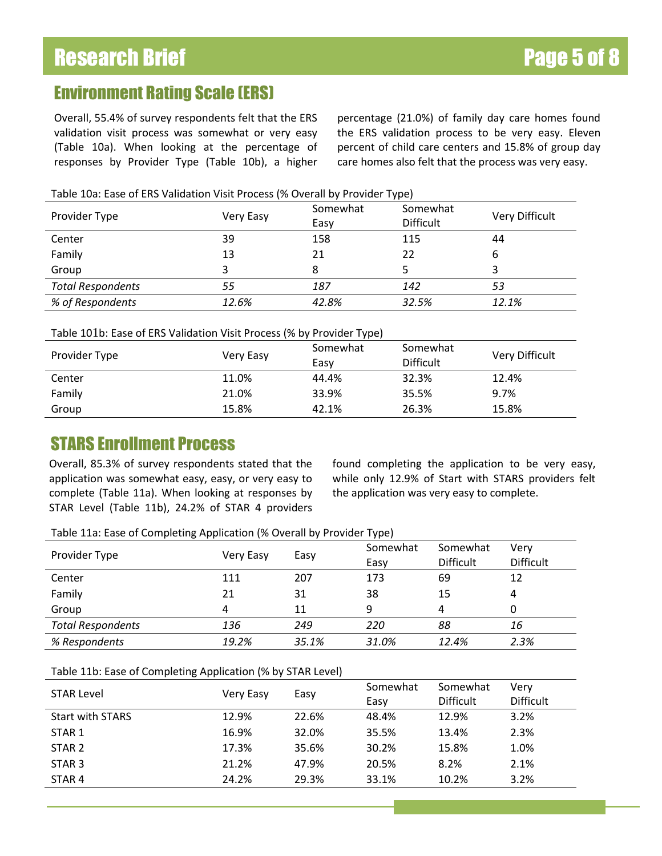### Environment Rating Scale (ERS)

Overall, 55.4% of survey respondents felt that the ERS validation visit process was somewhat or very easy (Table 10a). When looking at the percentage of responses by Provider Type (Table 10b), a higher percentage (21.0%) of family day care homes found the ERS validation process to be very easy. Eleven percent of child care centers and 15.8% of group day care homes also felt that the process was very easy.

| Table 10a: Ease of ERS Validation Visit Process (% Overall by Provider Type) |  |  |  |  |
|------------------------------------------------------------------------------|--|--|--|--|
|------------------------------------------------------------------------------|--|--|--|--|

| Provider Type            | Very Easy | Somewhat<br>Easy | Somewhat<br><b>Difficult</b> | Very Difficult |
|--------------------------|-----------|------------------|------------------------------|----------------|
| Center                   | 39        | 158              | 115                          | 44             |
| Family                   | 13        | 21               | 22                           | b              |
| Group                    |           |                  |                              |                |
| <b>Total Respondents</b> | 55        | 187              | 142                          | 53             |
| % of Respondents         | 12.6%     | 42.8%            | 32.5%                        | 12.1%          |

### Table 101b: Ease of ERS Validation Visit Process (% by Provider Type)

| Provider Type | Very Easy | Somewhat<br>Easy | Somewhat<br><b>Difficult</b> | Very Difficult |
|---------------|-----------|------------------|------------------------------|----------------|
| Center        | 11.0%     | 44.4%            | 32.3%                        | 12.4%          |
| Family        | 21.0%     | 33.9%            | 35.5%                        | 9.7%           |
| Group         | 15.8%     | 42.1%            | 26.3%                        | 15.8%          |

# STARS Enrollment Process

Overall, 85.3% of survey respondents stated that the application was somewhat easy, easy, or very easy to complete (Table 11a). When looking at responses by STAR Level (Table 11b), 24.2% of STAR 4 providers

found completing the application to be very easy, while only 12.9% of Start with STARS providers felt the application was very easy to complete.

Table 11a: Ease of Completing Application (% Overall by Provider Type)

| Provider Type            | Very Easy | Easy  | Somewhat<br>Easy | Somewhat<br><b>Difficult</b> | Very<br><b>Difficult</b> |
|--------------------------|-----------|-------|------------------|------------------------------|--------------------------|
| Center                   | 111       | 207   | 173              | 69                           | 12                       |
| Family                   | 21        | 31    | 38               | 15                           | 4                        |
| Group                    | 4         | 11    | q                | 4                            | 0                        |
| <b>Total Respondents</b> | 136       | 249   | 220              | 88                           | 16                       |
| % Respondents            | 19.2%     | 35.1% | 31.0%            | 12.4%                        | 2.3%                     |

#### Table 11b: Ease of Completing Application (% by STAR Level)

| <b>STAR Level</b>       | Very Easy | Easy  | Somewhat | Somewhat         | Very             |
|-------------------------|-----------|-------|----------|------------------|------------------|
|                         |           |       | Easy     | <b>Difficult</b> | <b>Difficult</b> |
| <b>Start with STARS</b> | 12.9%     | 22.6% | 48.4%    | 12.9%            | 3.2%             |
| STAR 1                  | 16.9%     | 32.0% | 35.5%    | 13.4%            | 2.3%             |
| STAR <sub>2</sub>       | 17.3%     | 35.6% | 30.2%    | 15.8%            | 1.0%             |
| STAR <sub>3</sub>       | 21.2%     | 47.9% | 20.5%    | 8.2%             | 2.1%             |
| STAR 4                  | 24.2%     | 29.3% | 33.1%    | 10.2%            | 3.2%             |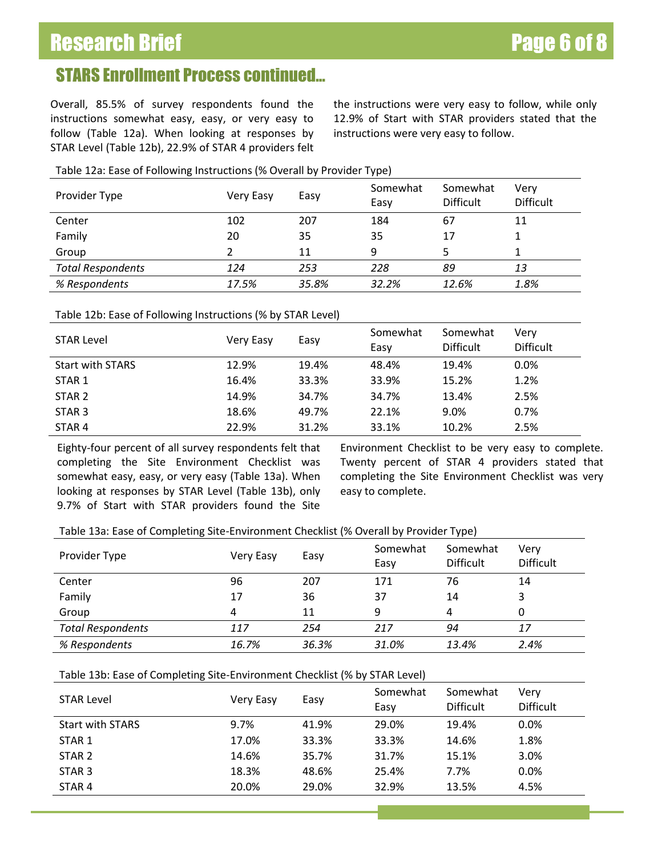# Research Brief **Page 6 of 8**

## STARS Enrollment Process continued…

Overall, 85.5% of survey respondents found the instructions somewhat easy, easy, or very easy to follow (Table 12a). When looking at responses by STAR Level (Table 12b), 22.9% of STAR 4 providers felt the instructions were very easy to follow, while only 12.9% of Start with STAR providers stated that the instructions were very easy to follow.

### Table 12a: Ease of Following Instructions (% Overall by Provider Type)

| Provider Type            | Very Easy | Easy  | Somewhat<br>Easy | Somewhat<br><b>Difficult</b> | Very<br><b>Difficult</b> |
|--------------------------|-----------|-------|------------------|------------------------------|--------------------------|
| Center                   | 102       | 207   | 184              | 67                           | 11                       |
| Family                   | 20        | 35    | 35               | 17                           |                          |
| Group                    |           | 11    | 9                | 5                            |                          |
| <b>Total Respondents</b> | 124       | 253   | 228              | 89                           | 13                       |
| % Respondents            | 17.5%     | 35.8% | 32.2%            | 12.6%                        | 1.8%                     |

### Table 12b: Ease of Following Instructions (% by STAR Level)

| <b>STAR Level</b>       | Very Easy | Easy  | Somewhat<br>Easy | Somewhat<br><b>Difficult</b> | Very<br><b>Difficult</b> |
|-------------------------|-----------|-------|------------------|------------------------------|--------------------------|
| <b>Start with STARS</b> | 12.9%     | 19.4% | 48.4%            | 19.4%                        | $0.0\%$                  |
| STAR 1                  | 16.4%     | 33.3% | 33.9%            | 15.2%                        | 1.2%                     |
| STAR 2                  | 14.9%     | 34.7% | 34.7%            | 13.4%                        | 2.5%                     |
| STAR <sub>3</sub>       | 18.6%     | 49.7% | 22.1%            | 9.0%                         | 0.7%                     |
| STAR 4                  | 22.9%     | 31.2% | 33.1%            | 10.2%                        | 2.5%                     |

Eighty-four percent of all survey respondents felt that completing the Site Environment Checklist was somewhat easy, easy, or very easy (Table 13a). When looking at responses by STAR Level (Table 13b), only 9.7% of Start with STAR providers found the Site Environment Checklist to be very easy to complete. Twenty percent of STAR 4 providers stated that completing the Site Environment Checklist was very easy to complete.

#### Table 13a: Ease of Completing Site-Environment Checklist (% Overall by Provider Type)

| Provider Type            | Very Easy | Easy  | Somewhat<br>Easy | Somewhat<br><b>Difficult</b> | Very<br><b>Difficult</b> |
|--------------------------|-----------|-------|------------------|------------------------------|--------------------------|
| Center                   | 96        | 207   | 171              | 76                           | 14                       |
| Family                   | 17        | 36    | 37               | 14                           | 3                        |
| Group                    | 4         | 11    | 9                | 4                            | 0                        |
| <b>Total Respondents</b> | 117       | 254   | 217              | 94                           | 17                       |
| % Respondents            | 16.7%     | 36.3% | 31.0%            | 13.4%                        | 2.4%                     |

#### Table 13b: Ease of Completing Site-Environment Checklist (% by STAR Level)

| <b>STAR Level</b>       | Very Easy | Easy  | Somewhat<br>Easy | Somewhat<br><b>Difficult</b> | Very<br><b>Difficult</b> |
|-------------------------|-----------|-------|------------------|------------------------------|--------------------------|
| <b>Start with STARS</b> | 9.7%      | 41.9% | 29.0%            | 19.4%                        | 0.0%                     |
| STAR 1                  | 17.0%     | 33.3% | 33.3%            | 14.6%                        | 1.8%                     |
| STAR 2                  | 14.6%     | 35.7% | 31.7%            | 15.1%                        | 3.0%                     |
| STAR <sub>3</sub>       | 18.3%     | 48.6% | 25.4%            | 7.7%                         | 0.0%                     |
| STAR <sub>4</sub>       | 20.0%     | 29.0% | 32.9%            | 13.5%                        | 4.5%                     |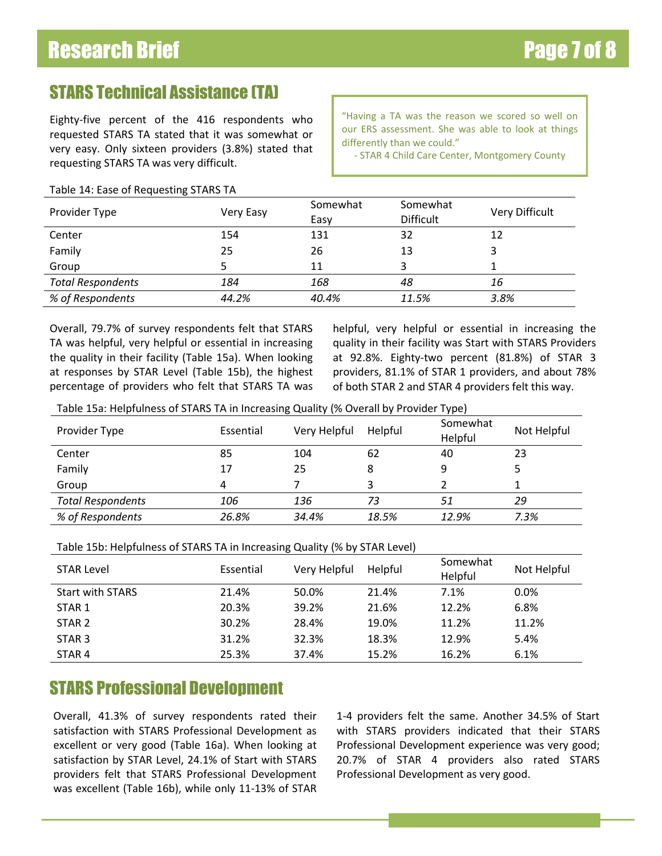# STARS Technical Assistance (TA)

Eighty-five percent of the 416 respondents who requested STARS TA stated that it was somewhat or very easy. Only sixteen providers (3.8%) stated that requesting STARS TA was very difficult.

"Having a TA was the reason we scored so well on our ERS assessment. She was able to look at things differently than we could."

- STAR 4 Child Care Center, Montgomery County

### Table 14: Ease of Requesting STARS TA

| Provider Type            | Very Easy | Somewhat<br>Easy | Somewhat<br><b>Difficult</b> | Very Difficult |
|--------------------------|-----------|------------------|------------------------------|----------------|
| Center                   | 154       | 131              | 32                           | 12             |
| Family                   | 25        | 26               | 13                           |                |
| Group                    |           | 11               | 3                            |                |
| <b>Total Respondents</b> | 184       | 168              | 48                           | 16             |
| % of Respondents         | 44.2%     | 40.4%            | 11.5%                        | 3.8%           |

Overall, 79.7% of survey respondents felt that STARS TA was helpful, very helpful or essential in increasing the quality in their facility (Table 15a). When looking at responses by STAR Level (Table 15b), the highest percentage of providers who felt that STARS TA was

helpful, very helpful or essential in increasing the quality in their facility was Start with STARS Providers at 92.8%. Eighty-two percent (81.8%) of STAR 3 providers, 81.1% of STAR 1 providers, and about 78% of both STAR 2 and STAR 4 providers felt this way.

Table 15a: Helpfulness of STARS TA in Increasing Quality (% Overall by Provider Type)

| Provider Type            | Essential | Very Helpful | Helpful | Somewhat<br>Helpful | Not Helpful |
|--------------------------|-----------|--------------|---------|---------------------|-------------|
| Center                   | 85        | 104          | 62      | 40                  | 23          |
| Family                   | 17        | 25           | 8       |                     |             |
| Group                    | 4         |              |         |                     |             |
| <b>Total Respondents</b> | 106       | 136          | 73      | 51                  | 29          |
| % of Respondents         | 26.8%     | 34.4%        | 18.5%   | 12.9%               | 7.3%        |

Table 15b: Helpfulness of STARS TA in Increasing Quality (% by STAR Level)

| <b>STAR Level</b>       | Essential | Very Helpful | Helpful | Somewhat<br>Helpful | Not Helpful |
|-------------------------|-----------|--------------|---------|---------------------|-------------|
| <b>Start with STARS</b> | 21.4%     | 50.0%        | 21.4%   | 7.1%                | $0.0\%$     |
| STAR 1                  | 20.3%     | 39.2%        | 21.6%   | 12.2%               | 6.8%        |
| STAR 2                  | 30.2%     | 28.4%        | 19.0%   | 11.2%               | 11.2%       |
| STAR <sub>3</sub>       | 31.2%     | 32.3%        | 18.3%   | 12.9%               | 5.4%        |
| STAR 4                  | 25.3%     | 37.4%        | 15.2%   | 16.2%               | 6.1%        |

### STARS Professional Development

Overall, 41.3% of survey respondents rated their satisfaction with STARS Professional Development as excellent or very good (Table 16a). When looking at satisfaction by STAR Level, 24.1% of Start with STARS providers felt that STARS Professional Development was excellent (Table 16b), while only 11-13% of STAR 1-4 providers felt the same. Another 34.5% of Start with STARS providers indicated that their STARS Professional Development experience was very good; 20.7% of STAR 4 providers also rated STARS Professional Development as very good.